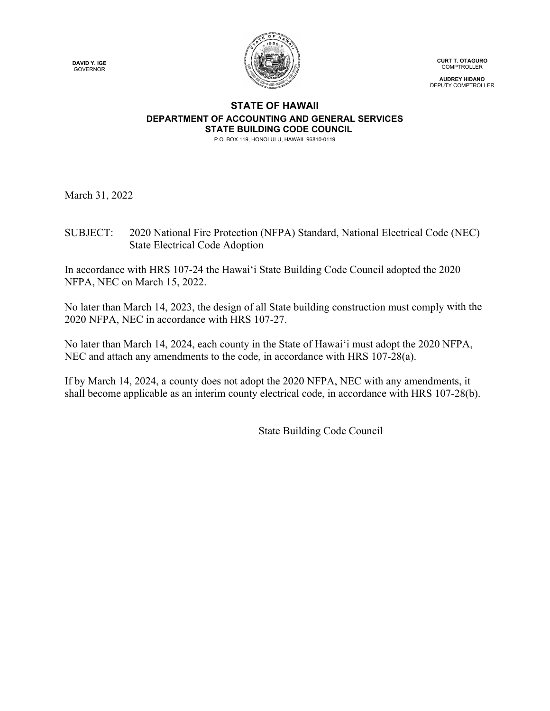**DAVID Y. IGE** GOVERNOR



**CURT T. OTAGURO COMPTROLLER** 

**AUDREY HIDANO** DEPUTY COMPTROLLER

# **STATE OF HAWAII DEPARTMENT OF ACCOUNTING AND GENERAL SERVICES STATE BUILDING CODE COUNCIL**

P.O. BOX 119, HONOLULU, HAWAII 96810-0119

March 31, 2022

SUBJECT: 2020 National Fire Protection (NFPA) Standard, National Electrical Code (NEC) State Electrical Code Adoption

In accordance with HRS 107-24 the Hawai'i State Building Code Council adopted the 2020 NFPA, NEC on March 15, 2022.

No later than March 14, 2023, the design of all State building construction must comply with the 2020 NFPA, NEC in accordance with HRS 107-27.

No later than March 14, 2024, each county in the State of Hawai'i must adopt the 2020 NFPA, NEC and attach any amendments to the code, in accordance with HRS 107-28(a).

If by March 14, 2024, a county does not adopt the 2020 NFPA, NEC with any amendments, it shall become applicable as an interim county electrical code, in accordance with HRS 107-28(b).

State Building Code Council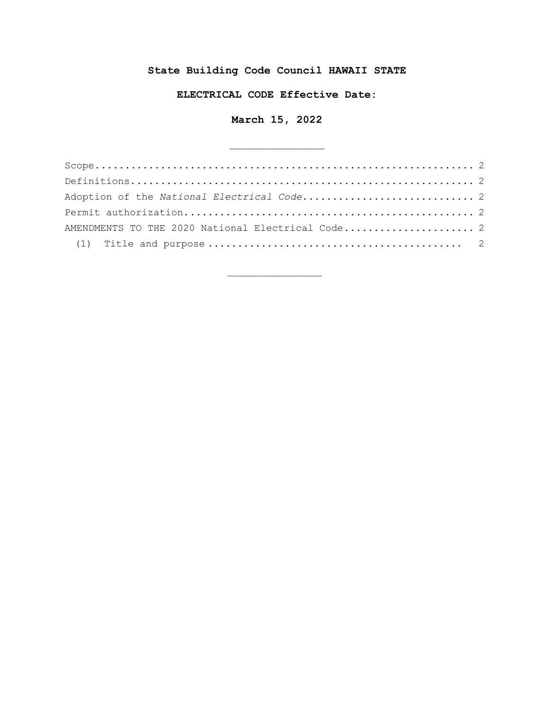# **State Building Code Council HAWAII STATE**

## **ELECTRICAL CODE Effective Date:**

# **March 15, 2022**

\_\_\_\_\_\_\_\_\_\_\_\_\_\_\_\_

| Adoption of the National Electrical Code 2        |  |
|---------------------------------------------------|--|
|                                                   |  |
| AMENDMENTS TO THE 2020 National Electrical Code 2 |  |
|                                                   |  |

\_\_\_\_\_\_\_\_\_\_\_\_\_\_\_\_